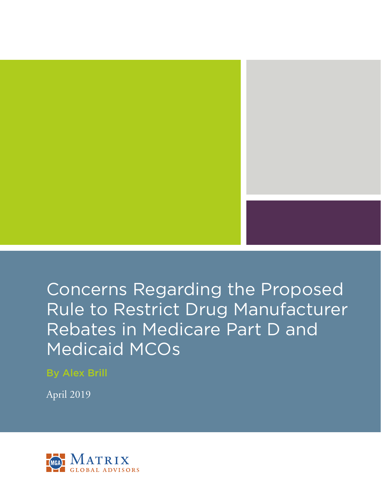

By Alex Brill

April 2019

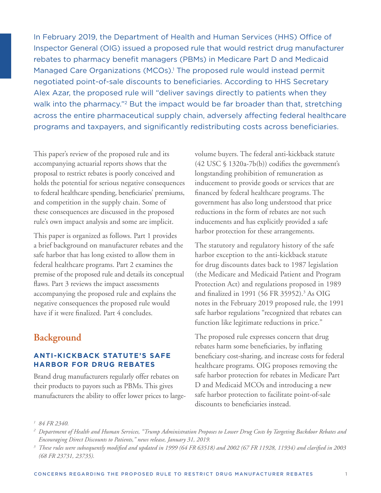In February 2019, the Department of Health and Human Services (HHS) Office of Inspector General (OIG) issued a proposed rule that would restrict drug manufacturer rebates to pharmacy benefit managers (PBMs) in Medicare Part D and Medicaid Managed Care Organizations (MCOs).<sup>1</sup> The proposed rule would instead permit negotiated point-of-sale discounts to beneficiaries. According to HHS Secretary Alex Azar, the proposed rule will "deliver savings directly to patients when they walk into the pharmacy."<sup>2</sup> But the impact would be far broader than that, stretching across the entire pharmaceutical supply chain, adversely affecting federal healthcare programs and taxpayers, and significantly redistributing costs across beneficiaries.

This paper's review of the proposed rule and its accompanying actuarial reports shows that the proposal to restrict rebates is poorly conceived and holds the potential for serious negative consequences to federal healthcare spending, beneficiaries' premiums, and competition in the supply chain. Some of these consequences are discussed in the proposed rule's own impact analysis and some are implicit.

This paper is organized as follows. Part 1 provides a brief background on manufacturer rebates and the safe harbor that has long existed to allow them in federal healthcare programs. Part 2 examines the premise of the proposed rule and details its conceptual flaws. Part 3 reviews the impact assessments accompanying the proposed rule and explains the negative consequences the proposed rule would have if it were finalized. Part 4 concludes.

# **Background**

## **ANTI-KICKBACK STATUTE'S SAFE HARBOR FOR DRUG REBATES**

Brand drug manufacturers regularly offer rebates on their products to payors such as PBMs. This gives manufacturers the ability to offer lower prices to largevolume buyers. The federal anti-kickback statute (42 USC § 1320a-7b(b)) codifies the government's longstanding prohibition of remuneration as inducement to provide goods or services that are financed by federal healthcare programs. The government has also long understood that price reductions in the form of rebates are not such inducements and has explicitly provided a safe harbor protection for these arrangements.

The statutory and regulatory history of the safe harbor exception to the anti-kickback statute for drug discounts dates back to 1987 legislation (the Medicare and Medicaid Patient and Program Protection Act) and regulations proposed in 1989 and finalized in 1991 (56 FR 35952).<sup>3</sup> As OIG notes in the February 2019 proposed rule, the 1991 safe harbor regulations "recognized that rebates can function like legitimate reductions in price."

The proposed rule expresses concern that drug rebates harm some beneficiaries, by inflating beneficiary cost-sharing, and increase costs for federal healthcare programs. OIG proposes removing the safe harbor protection for rebates in Medicare Part D and Medicaid MCOs and introducing a new safe harbor protection to facilitate point-of-sale discounts to beneficiaries instead.

*<sup>1</sup> 84 FR 2340.*

*<sup>2</sup> Department of Health and Human Services, "Trump Administration Proposes to Lower Drug Costs by Targeting Backdoor Rebates and Encouraging Direct Discounts to Patients," news release, January 31, 2019.*

*<sup>3</sup> These rules were subsequently modified and updated in 1999 (64 FR 63518) and 2002 (67 FR 11928, 11934) and clarified in 2003 (68 FR 23731, 23735).*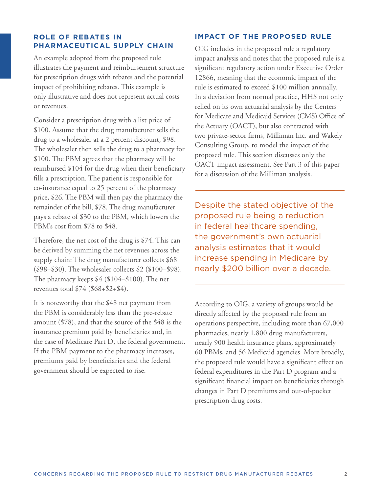### **ROLE OF REBATES IN PHARMACEUTICAL SUPPLY CHAIN**

An example adopted from the proposed rule illustrates the payment and reimbursement structure for prescription drugs with rebates and the potential impact of prohibiting rebates. This example is only illustrative and does not represent actual costs or revenues.

Consider a prescription drug with a list price of \$100. Assume that the drug manufacturer sells the drug to a wholesaler at a 2 percent discount, \$98. The wholesaler then sells the drug to a pharmacy for \$100. The PBM agrees that the pharmacy will be reimbursed \$104 for the drug when their beneficiary fills a prescription. The patient is responsible for co-insurance equal to 25 percent of the pharmacy price, \$26. The PBM will then pay the pharmacy the remainder of the bill, \$78. The drug manufacturer pays a rebate of \$30 to the PBM, which lowers the PBM's cost from \$78 to \$48.

Therefore, the net cost of the drug is \$74. This can be derived by summing the net revenues across the supply chain: The drug manufacturer collects \$68 (\$98–\$30). The wholesaler collects \$2 (\$100–\$98). The pharmacy keeps \$4 (\$104–\$100). The net revenues total \$74 (\$68+\$2+\$4).

It is noteworthy that the \$48 net payment from the PBM is considerably less than the pre-rebate amount (\$78), and that the source of the \$48 is the insurance premium paid by beneficiaries and, in the case of Medicare Part D, the federal government. If the PBM payment to the pharmacy increases, premiums paid by beneficiaries and the federal government should be expected to rise.

### **IMPACT OF THE PROPOSED RULE**

OIG includes in the proposed rule a regulatory impact analysis and notes that the proposed rule is a significant regulatory action under Executive Order 12866, meaning that the economic impact of the rule is estimated to exceed \$100 million annually. In a deviation from normal practice, HHS not only relied on its own actuarial analysis by the Centers for Medicare and Medicaid Services (CMS) Office of the Actuary (OACT), but also contracted with two private-sector firms, Milliman Inc. and Wakely Consulting Group, to model the impact of the proposed rule. This section discusses only the OACT impact assessment. See Part 3 of this paper for a discussion of the Milliman analysis.

Despite the stated objective of the proposed rule being a reduction in federal healthcare spending, the government's own actuarial analysis estimates that it would increase spending in Medicare by nearly \$200 billion over a decade.

According to OIG, a variety of groups would be directly affected by the proposed rule from an operations perspective, including more than 67,000 pharmacies, nearly 1,800 drug manufacturers, nearly 900 health insurance plans, approximately 60 PBMs, and 56 Medicaid agencies. More broadly, the proposed rule would have a significant effect on federal expenditures in the Part D program and a significant financial impact on beneficiaries through changes in Part D premiums and out-of-pocket prescription drug costs.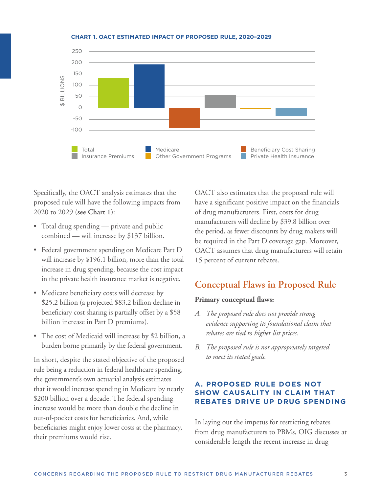

#### **CHART 1. OACT ESTIMATED IMPACT OF PROPOSED RULE, 2020–2029**

Specifically, the OACT analysis estimates that the proposed rule will have the following impacts from 2020 to 2029 (**see Chart 1**):

- Total drug spending private and public combined — will increase by \$137 billion.
- Federal government spending on Medicare Part D will increase by \$196.1 billion, more than the total increase in drug spending, because the cost impact in the private health insurance market is negative.
- Medicare beneficiary costs will decrease by \$25.2 billion (a projected \$83.2 billion decline in beneficiary cost sharing is partially offset by a \$58 billion increase in Part D premiums).
- The cost of Medicaid will increase by \$2 billion, a burden borne primarily by the federal government.

In short, despite the stated objective of the proposed rule being a reduction in federal healthcare spending, the government's own actuarial analysis estimates that it would increase spending in Medicare by nearly \$200 billion over a decade. The federal spending increase would be more than double the decline in out-of-pocket costs for beneficiaries. And, while beneficiaries might enjoy lower costs at the pharmacy, their premiums would rise.

OACT also estimates that the proposed rule will have a significant positive impact on the financials of drug manufacturers. First, costs for drug manufacturers will decline by \$39.8 billion over the period, as fewer discounts by drug makers will be required in the Part D coverage gap. Moreover, OACT assumes that drug manufacturers will retain 15 percent of current rebates.

# **Conceptual Flaws in Proposed Rule**

#### **Primary conceptual flaws:**

- *A. The proposed rule does not provide strong evidence supporting its foundational claim that rebates are tied to higher list prices.*
- *B. The proposed rule is not appropriately targeted to meet its stated goals.*

## **A. PROPOSED RULE DOES NOT SHOW CAUSALITY IN CLAIM THAT REBATES DRIVE UP DRUG SPENDING**

In laying out the impetus for restricting rebates from drug manufacturers to PBMs, OIG discusses at considerable length the recent increase in drug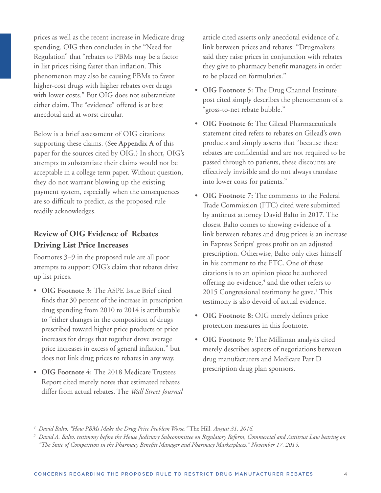prices as well as the recent increase in Medicare drug spending. OIG then concludes in the "Need for Regulation" that "rebates to PBMs may be a factor in list prices rising faster than inflation. This phenomenon may also be causing PBMs to favor higher-cost drugs with higher rebates over drugs with lower costs." But OIG does not substantiate either claim. The "evidence" offered is at best anecdotal and at worst circular.

Below is a brief assessment of OIG citations supporting these claims. (See **Appendix A** of this paper for the sources cited by OIG.) In short, OIG's attempts to substantiate their claims would not be acceptable in a college term paper. Without question, they do not warrant blowing up the existing payment system, especially when the consequences are so difficult to predict, as the proposed rule readily acknowledges.

# **Review of OIG Evidence of Rebates Driving List Price Increases**

Footnotes 3–9 in the proposed rule are all poor attempts to support OIG's claim that rebates drive up list prices.

- **OIG Footnote 3:** The ASPE Issue Brief cited finds that 30 percent of the increase in prescription drug spending from 2010 to 2014 is attributable to "either changes in the composition of drugs prescribed toward higher price products or price increases for drugs that together drove average price increases in excess of general inflation," but does not link drug prices to rebates in any way.
- **OIG Footnote 4:** The 2018 Medicare Trustees Report cited merely notes that estimated rebates differ from actual rebates. The *Wall Street Journal*

article cited asserts only anecdotal evidence of a link between prices and rebates: "Drugmakers said they raise prices in conjunction with rebates they give to pharmacy benefit managers in order to be placed on formularies."

- **OIG Footnote 5:** The Drug Channel Institute post cited simply describes the phenomenon of a "gross-to-net rebate bubble."
- **OIG Footnote 6:** The Gilead Pharmaceuticals statement cited refers to rebates on Gilead's own products and simply asserts that "because these rebates are confidential and are not required to be passed through to patients, these discounts are effectively invisible and do not always translate into lower costs for patients."
- **OIG Footnote 7:** The comments to the Federal Trade Commission (FTC) cited were submitted by antitrust attorney David Balto in 2017. The closest Balto comes to showing evidence of a link between rebates and drug prices is an increase in Express Scripts' gross profit on an adjusted prescription. Otherwise, Balto only cites himself in his comment to the FTC. One of these citations is to an opinion piece he authored offering no evidence,<sup>4</sup> and the other refers to 2015 Congressional testimony he gave.<sup>5</sup> This testimony is also devoid of actual evidence.
- **OIG Footnote 8:** OIG merely defines price protection measures in this footnote.
- **OIG Footnote 9:** The Milliman analysis cited merely describes aspects of negotiations between drug manufacturers and Medicare Part D prescription drug plan sponsors.

*<sup>4</sup> David Balto, "How PBMs Make the Drug Price Problem Worse,"* The Hill*, August 31, 2016.*

*<sup>5</sup> David A. Balto, testimony before the House Judiciary Subcommittee on Regulatory Reform, Commercial and Antitrust Law hearing on "The State of Competition in the Pharmacy Benefits Manager and Pharmacy Marketplaces," November 17, 2015.*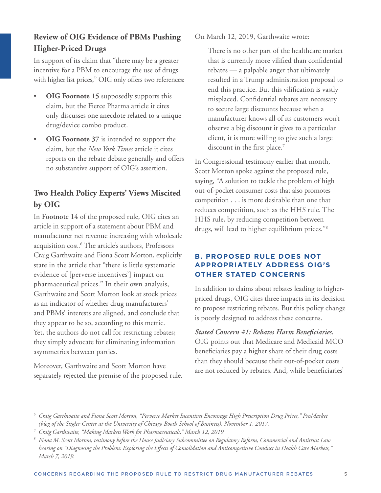# **Review of OIG Evidence of PBMs Pushing Higher-Priced Drugs**

In support of its claim that "there may be a greater incentive for a PBM to encourage the use of drugs with higher list prices," OIG only offers two references:

- **OIG Footnote 15** supposedly supports this claim, but the Fierce Pharma article it cites only discusses one anecdote related to a unique drug/device combo product.
- **OIG Footnote 37** is intended to support the claim, but the *New York Times* article it cites reports on the rebate debate generally and offers no substantive support of OIG's assertion.

# **Two Health Policy Experts' Views Miscited by OIG**

In **Footnote 14** of the proposed rule, OIG cites an article in support of a statement about PBM and manufacturer net revenue increasing with wholesale acquisition cost.6 The article's authors, Professors Craig Garthwaite and Fiona Scott Morton, explicitly state in the article that "there is little systematic evidence of [perverse incentives'] impact on pharmaceutical prices." In their own analysis, Garthwaite and Scott Morton look at stock prices as an indicator of whether drug manufacturers' and PBMs' interests are aligned, and conclude that they appear to be so, according to this metric. Yet, the authors do not call for restricting rebates; they simply advocate for eliminating information asymmetries between parties.

Moreover, Garthwaite and Scott Morton have separately rejected the premise of the proposed rule. On March 12, 2019, Garthwaite wrote:

 There is no other part of the healthcare market that is currently more vilified than confidential rebates — a palpable anger that ultimately resulted in a Trump administration proposal to end this practice. But this vilification is vastly misplaced. Confidential rebates are necessary to secure large discounts because when a manufacturer knows all of its customers won't observe a big discount it gives to a particular client, it is more willing to give such a large discount in the first place.<sup>7</sup>

In Congressional testimony earlier that month, Scott Morton spoke against the proposed rule, saying, "A solution to tackle the problem of high out-of-pocket consumer costs that also promotes competition . . . is more desirable than one that reduces competition, such as the HHS rule. The HHS rule, by reducing competition between drugs, will lead to higher equilibrium prices."8

## **B. PROPOSED RULE DOES NOT APPROPRIATELY ADDRESS OIG'S OTHER STATED CONCERNS**

In addition to claims about rebates leading to higherpriced drugs, OIG cites three impacts in its decision to propose restricting rebates. But this policy change is poorly designed to address these concerns.

*Stated Concern #1: Rebates Harm Beneficiaries.*  OIG points out that Medicare and Medicaid MCO beneficiaries pay a higher share of their drug costs than they should because their out-of-pocket costs are not reduced by rebates. And, while beneficiaries'

*<sup>6</sup> Craig Garthwaite and Fiona Scott Morton, "Perverse Market Incentives Encourage High Prescription Drug Prices," ProMarket (blog of the Stigler Center at the University of Chicago Booth School of Business), November 1, 2017.*

*<sup>7</sup> Craig Garthwaite, "Making Markets Work for Pharmaceuticals," March 12, 2019.*

*<sup>8</sup> Fiona M. Scott Morton, testimony before the House Judiciary Subcommittee on Regulatory Reform, Commercial and Antitrust Law hearing on "Diagnosing the Problem: Exploring the Effects of Consolidation and Anticompetitive Conduct in Health Care Markets," March 7, 2019.*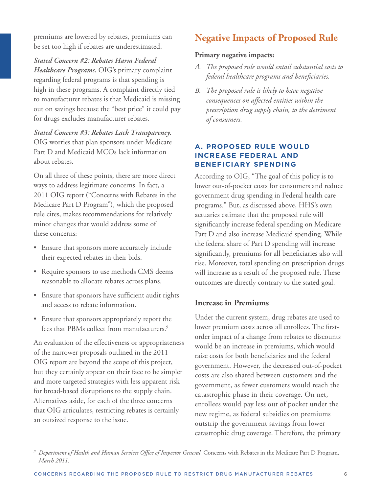premiums are lowered by rebates, premiums can be set too high if rebates are underestimated.

*Stated Concern #2: Rebates Harm Federal Healthcare Programs.* OIG's primary complaint regarding federal programs is that spending is high in these programs. A complaint directly tied to manufacturer rebates is that Medicaid is missing out on savings because the "best price" it could pay for drugs excludes manufacturer rebates.

*Stated Concern #3: Rebates Lack Transparency.*  OIG worries that plan sponsors under Medicare Part D and Medicaid MCOs lack information about rebates.

On all three of these points, there are more direct ways to address legitimate concerns. In fact, a 2011 OIG report ("Concerns with Rebates in the Medicare Part D Program"), which the proposed rule cites, makes recommendations for relatively minor changes that would address some of these concerns:

- Ensure that sponsors more accurately include their expected rebates in their bids.
- Require sponsors to use methods CMS deems reasonable to allocate rebates across plans.
- Ensure that sponsors have sufficient audit rights and access to rebate information.
- Ensure that sponsors appropriately report the fees that PBMs collect from manufacturers.<sup>9</sup>

An evaluation of the effectiveness or appropriateness of the narrower proposals outlined in the 2011 OIG report are beyond the scope of this project, but they certainly appear on their face to be simpler and more targeted strategies with less apparent risk for broad-based disruptions to the supply chain. Alternatives aside, for each of the three concerns that OIG articulates, restricting rebates is certainly an outsized response to the issue.

# **Negative Impacts of Proposed Rule**

### **Primary negative impacts:**

- *A. The proposed rule would entail substantial costs to federal healthcare programs and beneficiaries.*
- *B. The proposed rule is likely to have negative consequences on affected entities within the prescription drug supply chain, to the detriment of consumers.*

## **A. PROPOSED RULE WOULD INCREASE FEDERAL AND BENEFICIARY SPENDING**

According to OIG, "The goal of this policy is to lower out-of-pocket costs for consumers and reduce government drug spending in Federal health care programs." But, as discussed above, HHS's own actuaries estimate that the proposed rule will significantly increase federal spending on Medicare Part D and also increase Medicaid spending. While the federal share of Part D spending will increase significantly, premiums for all beneficiaries also will rise. Moreover, total spending on prescription drugs will increase as a result of the proposed rule. These outcomes are directly contrary to the stated goal.

## **Increase in Premiums**

Under the current system, drug rebates are used to lower premium costs across all enrollees. The firstorder impact of a change from rebates to discounts would be an increase in premiums, which would raise costs for both beneficiaries and the federal government. However, the decreased out-of-pocket costs are also shared between customers and the government, as fewer customers would reach the catastrophic phase in their coverage. On net, enrollees would pay less out of pocket under the new regime, as federal subsidies on premiums outstrip the government savings from lower catastrophic drug coverage. Therefore, the primary

*<sup>9</sup> Department of Health and Human Services Office of Inspector General,* Concerns with Rebates in the Medicare Part D Program*, March 2011.*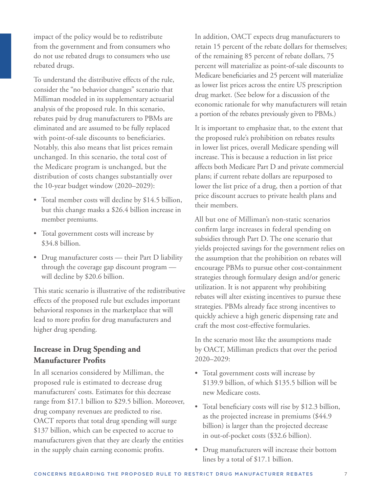impact of the policy would be to redistribute from the government and from consumers who do not use rebated drugs to consumers who use rebated drugs.

To understand the distributive effects of the rule, consider the "no behavior changes" scenario that Milliman modeled in its supplementary actuarial analysis of the proposed rule. In this scenario, rebates paid by drug manufacturers to PBMs are eliminated and are assumed to be fully replaced with point-of-sale discounts to beneficiaries. Notably, this also means that list prices remain unchanged. In this scenario, the total cost of the Medicare program is unchanged, but the distribution of costs changes substantially over the 10-year budget window (2020–2029):

- Total member costs will decline by \$14.5 billion, but this change masks a \$26.4 billion increase in member premiums.
- Total government costs will increase by \$34.8 billion.
- Drug manufacturer costs their Part D liability through the coverage gap discount program will decline by \$20.6 billion.

This static scenario is illustrative of the redistributive effects of the proposed rule but excludes important behavioral responses in the marketplace that will lead to more profits for drug manufacturers and higher drug spending.

## **Increase in Drug Spending and Manufacturer Profits**

In all scenarios considered by Milliman, the proposed rule is estimated to decrease drug manufacturers' costs. Estimates for this decrease range from \$17.1 billion to \$29.5 billion. Moreover, drug company revenues are predicted to rise. OACT reports that total drug spending will surge \$137 billion, which can be expected to accrue to manufacturers given that they are clearly the entities in the supply chain earning economic profits.

In addition, OACT expects drug manufacturers to retain 15 percent of the rebate dollars for themselves; of the remaining 85 percent of rebate dollars, 75 percent will materialize as point-of-sale discounts to Medicare beneficiaries and 25 percent will materialize as lower list prices across the entire US prescription drug market. (See below for a discussion of the economic rationale for why manufacturers will retain a portion of the rebates previously given to PBMs.)

It is important to emphasize that, to the extent that the proposed rule's prohibition on rebates results in lower list prices, overall Medicare spending will increase. This is because a reduction in list price affects both Medicare Part D and private commercial plans; if current rebate dollars are repurposed to lower the list price of a drug, then a portion of that price discount accrues to private health plans and their members.

All but one of Milliman's non-static scenarios confirm large increases in federal spending on subsidies through Part D. The one scenario that yields projected savings for the government relies on the assumption that the prohibition on rebates will encourage PBMs to pursue other cost-containment strategies through formulary design and/or generic utilization. It is not apparent why prohibiting rebates will alter existing incentives to pursue these strategies. PBMs already face strong incentives to quickly achieve a high generic dispensing rate and craft the most cost-effective formularies.

In the scenario most like the assumptions made by OACT, Milliman predicts that over the period 2020–2029:

- Total government costs will increase by \$139.9 billion, of which \$135.5 billion will be new Medicare costs.
- Total beneficiary costs will rise by \$12.3 billion, as the projected increase in premiums (\$44.9 billion) is larger than the projected decrease in out-of-pocket costs (\$32.6 billion).
- Drug manufacturers will increase their bottom lines by a total of \$17.1 billion.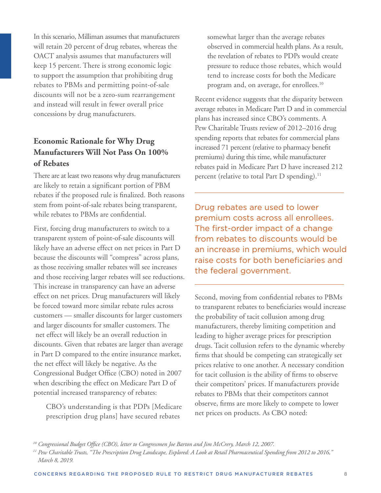In this scenario, Milliman assumes that manufacturers will retain 20 percent of drug rebates, whereas the OACT analysis assumes that manufacturers will keep 15 percent. There is strong economic logic to support the assumption that prohibiting drug rebates to PBMs and permitting point-of-sale discounts will not be a zero-sum rearrangement and instead will result in fewer overall price concessions by drug manufacturers.

# **Economic Rationale for Why Drug Manufacturers Will Not Pass On 100% of Rebates**

There are at least two reasons why drug manufacturers are likely to retain a significant portion of PBM rebates if the proposed rule is finalized. Both reasons stem from point-of-sale rebates being transparent, while rebates to PBMs are confidential.

First, forcing drug manufacturers to switch to a transparent system of point-of-sale discounts will likely have an adverse effect on net prices in Part D because the discounts will "compress" across plans, as those receiving smaller rebates will see increases and those receiving larger rebates will see reductions. This increase in transparency can have an adverse effect on net prices. Drug manufacturers will likely be forced toward more similar rebate rules across customers — smaller discounts for larger customers and larger discounts for smaller customers. The net effect will likely be an overall reduction in discounts. Given that rebates are larger than average in Part D compared to the entire insurance market, the net effect will likely be negative. As the Congressional Budget Office (CBO) noted in 2007 when describing the effect on Medicare Part D of potential increased transparency of rebates:

 CBO's understanding is that PDPs [Medicare prescription drug plans] have secured rebates

somewhat larger than the average rebates observed in commercial health plans. As a result, the revelation of rebates to PDPs would create pressure to reduce those rebates, which would tend to increase costs for both the Medicare program and, on average, for enrollees.10

Recent evidence suggests that the disparity between average rebates in Medicare Part D and in commercial plans has increased since CBO's comments. A Pew Charitable Trusts review of 2012–2016 drug spending reports that rebates for commercial plans increased 71 percent (relative to pharmacy benefit premiums) during this time, while manufacturer rebates paid in Medicare Part D have increased 212 percent (relative to total Part D spending).<sup>11</sup>

Drug rebates are used to lower premium costs across all enrollees. The first-order impact of a change from rebates to discounts would be an increase in premiums, which would raise costs for both beneficiaries and the federal government.

Second, moving from confidential rebates to PBMs to transparent rebates to beneficiaries would increase the probability of tacit collusion among drug manufacturers, thereby limiting competition and leading to higher average prices for prescription drugs. Tacit collusion refers to the dynamic whereby firms that should be competing can strategically set prices relative to one another. A necessary condition for tacit collusion is the ability of firms to observe their competitors' prices. If manufacturers provide rebates to PBMs that their competitors cannot observe, firms are more likely to compete to lower net prices on products. As CBO noted:

*<sup>10</sup> Congressional Budget Office (CBO), letter to Congressmen Joe Barton and Jim McCrery, March 12, 2007.*

*<sup>11</sup> Pew Charitable Trusts, "The Prescription Drug Landscape, Explored: A Look at Retail Pharmaceutical Spending from 2012 to 2016," March 8, 2019.*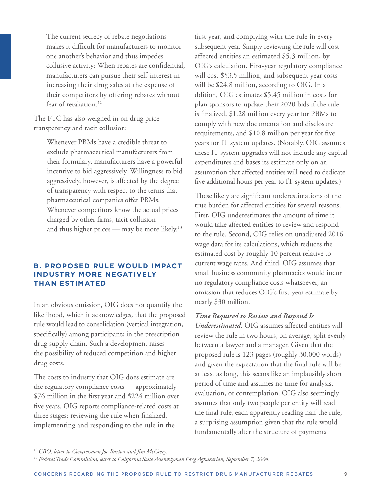The current secrecy of rebate negotiations makes it difficult for manufacturers to monitor one another's behavior and thus impedes collusive activity: When rebates are confidential, manufacturers can pursue their self-interest in increasing their drug sales at the expense of their competitors by offering rebates without fear of retaliation.<sup>12</sup>

The FTC has also weighed in on drug price transparency and tacit collusion:

> Whenever PBMs have a credible threat to exclude pharmaceutical manufacturers from their formulary, manufacturers have a powerful incentive to bid aggressively. Willingness to bid aggressively, however, is affected by the degree of transparency with respect to the terms that pharmaceutical companies offer PBMs. Whenever competitors know the actual prices charged by other firms, tacit collusion and thus higher prices — may be more likely.<sup>13</sup>

### **B. PROPOSED RULE WOULD IMPACT INDUSTRY MORE NEGATIVELY THAN ESTIMATED**

In an obvious omission, OIG does not quantify the likelihood, which it acknowledges, that the proposed rule would lead to consolidation (vertical integration, specifically) among participants in the prescription drug supply chain. Such a development raises the possibility of reduced competition and higher drug costs.

The costs to industry that OIG does estimate are the regulatory compliance costs — approximately \$76 million in the first year and \$224 million over five years. OIG reports compliance-related costs at three stages: reviewing the rule when finalized, implementing and responding to the rule in the

first year, and complying with the rule in every subsequent year. Simply reviewing the rule will cost affected entities an estimated \$5.3 million, by OIG's calculation. First-year regulatory compliance will cost \$53.5 million, and subsequent year costs will be \$24.8 million, according to OIG. In a ddition, OIG estimates \$5.45 million in costs for plan sponsors to update their 2020 bids if the rule is finalized, \$1.28 million every year for PBMs to comply with new documentation and disclosure requirements, and \$10.8 million per year for five years for IT system updates. (Notably, OIG assumes these IT system upgrades will not include any capital expenditures and bases its estimate only on an assumption that affected entities will need to dedicate five additional hours per year to IT system updates.)

These likely are significant underestimations of the true burden for affected entities for several reasons. First, OIG underestimates the amount of time it would take affected entities to review and respond to the rule. Second, OIG relies on unadjusted 2016 wage data for its calculations, which reduces the estimated cost by roughly 10 percent relative to current wage rates. And third, OIG assumes that small business community pharmacies would incur no regulatory compliance costs whatsoever, an omission that reduces OIG's first-year estimate by nearly \$30 million.

### *Time Required to Review and Respond Is*

*Underestimated.* OIG assumes affected entities will review the rule in two hours, on average, split evenly between a lawyer and a manager. Given that the proposed rule is 123 pages (roughly 30,000 words) and given the expectation that the final rule will be at least as long, this seems like an implausibly short period of time and assumes no time for analysis, evaluation, or contemplation. OIG also seemingly assumes that only two people per entity will read the final rule, each apparently reading half the rule, a surprising assumption given that the rule would fundamentally alter the structure of payments

*<sup>12</sup> CBO, letter to Congressmen Joe Barton and Jim McCrery.*

*<sup>13</sup> Federal Trade Commission, letter to California State Assemblyman Greg Aghazarian, September 7, 2004.*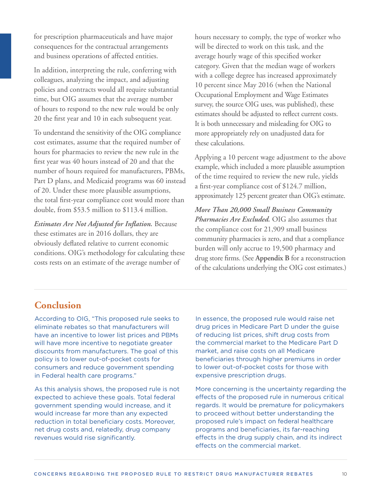for prescription pharmaceuticals and have major consequences for the contractual arrangements and business operations of affected entities.

In addition, interpreting the rule, conferring with colleagues, analyzing the impact, and adjusting policies and contracts would all require substantial time, but OIG assumes that the average number of hours to respond to the new rule would be only 20 the first year and 10 in each subsequent year.

To understand the sensitivity of the OIG compliance cost estimates, assume that the required number of hours for pharmacies to review the new rule in the first year was 40 hours instead of 20 and that the number of hours required for manufacturers, PBMs, Part D plans, and Medicaid programs was 60 instead of 20. Under these more plausible assumptions, the total first-year compliance cost would more than double, from \$53.5 million to \$113.4 million.

*Estimates Are Not Adjusted for Inflation.* Because these estimates are in 2016 dollars, they are obviously deflated relative to current economic conditions. OIG's methodology for calculating these costs rests on an estimate of the average number of

hours necessary to comply, the type of worker who will be directed to work on this task, and the average hourly wage of this specified worker category. Given that the median wage of workers with a college degree has increased approximately 10 percent since May 2016 (when the National Occupational Employment and Wage Estimates survey, the source OIG uses, was published), these estimates should be adjusted to reflect current costs. It is both unnecessary and misleading for OIG to more appropriately rely on unadjusted data for these calculations.

Applying a 10 percent wage adjustment to the above example, which included a more plausible assumption of the time required to review the new rule, yields a first-year compliance cost of \$124.7 million, approximately 125 percent greater than OIG's estimate.

*More Than 20,000 Small Business Community Pharmacies Are Excluded.* OIG also assumes that the compliance cost for 21,909 small business community pharmacies is zero, and that a compliance burden will only accrue to 19,500 pharmacy and drug store firms. (See **Appendix B** for a reconstruction of the calculations underlying the OIG cost estimates.)

# **Conclusion**

According to OIG, "This proposed rule seeks to eliminate rebates so that manufacturers will have an incentive to lower list prices and PBMs will have more incentive to negotiate greater discounts from manufacturers. The goal of this policy is to lower out-of-pocket costs for consumers and reduce government spending in Federal health care programs."

As this analysis shows, the proposed rule is not expected to achieve these goals. Total federal government spending would increase, and it would increase far more than any expected reduction in total beneficiary costs. Moreover, net drug costs and, relatedly, drug company revenues would rise significantly.

In essence, the proposed rule would raise net drug prices in Medicare Part D under the guise of reducing list prices, shift drug costs from the commercial market to the Medicare Part D market, and raise costs on all Medicare beneficiaries through higher premiums in order to lower out-of-pocket costs for those with expensive prescription drugs.

More concerning is the uncertainty regarding the effects of the proposed rule in numerous critical regards. It would be premature for policymakers to proceed without better understanding the proposed rule's impact on federal healthcare programs and beneficiaries, its far-reaching effects in the drug supply chain, and its indirect effects on the commercial market.